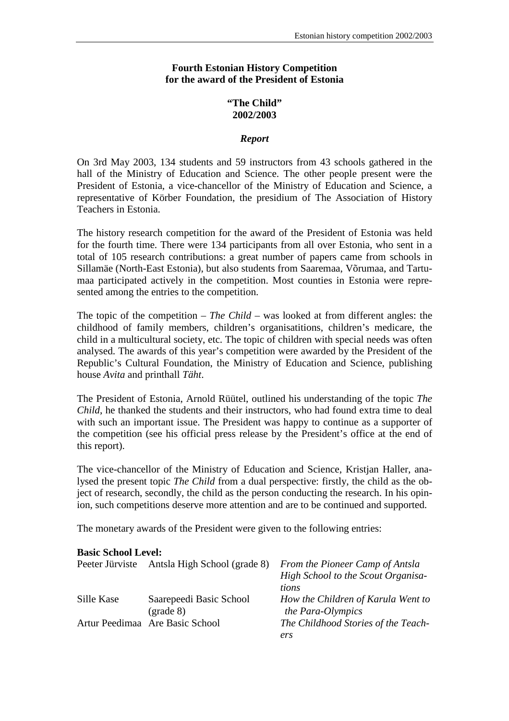## **Fourth Estonian History Competition for the award of the President of Estonia**

# **"The Child" 2002/2003**

#### *Report*

On 3rd May 2003, 134 students and 59 instructors from 43 schools gathered in the hall of the Ministry of Education and Science. The other people present were the President of Estonia, a vice-chancellor of the Ministry of Education and Science, a representative of Körber Foundation, the presidium of The Association of History Teachers in Estonia.

The history research competition for the award of the President of Estonia was held for the fourth time. There were 134 participants from all over Estonia, who sent in a total of 105 research contributions: a great number of papers came from schools in Sillamäe (North-East Estonia), but also students from Saaremaa, Võrumaa, and Tartumaa participated actively in the competition. Most counties in Estonia were represented among the entries to the competition.

The topic of the competition – *The Child* – was looked at from different angles: the childhood of family members, children's organisatitions, children's medicare, the child in a multicultural society, etc. The topic of children with special needs was often analysed. The awards of this year's competition were awarded by the President of the Republic's Cultural Foundation, the Ministry of Education and Science, publishing house *Avita* and printhall *Täht*.

The President of Estonia, Arnold Rüütel, outlined his understanding of the topic *The Child*, he thanked the students and their instructors, who had found extra time to deal with such an important issue. The President was happy to continue as a supporter of the competition (see his official press release by the President's office at the end of this report).

The vice-chancellor of the Ministry of Education and Science, Kristjan Haller, analysed the present topic *The Child* from a dual perspective: firstly, the child as the object of research, secondly, the child as the person conducting the research. In his opinion, such competitions deserve more attention and are to be continued and supported.

The monetary awards of the President were given to the following entries:

## **Basic School Level:**

| Peeter Jürviste | Antsla High School (grade 8)    | From the Pioneer Camp of Antsla     |
|-----------------|---------------------------------|-------------------------------------|
|                 |                                 | High School to the Scout Organisa-  |
|                 |                                 | tions                               |
| Sille Kase      | Saarepeedi Basic School         | How the Children of Karula Went to  |
|                 | $(grade 8)$                     | the Para-Olympics                   |
|                 | Artur Peedimaa Are Basic School | The Childhood Stories of the Teach- |
|                 |                                 | ers                                 |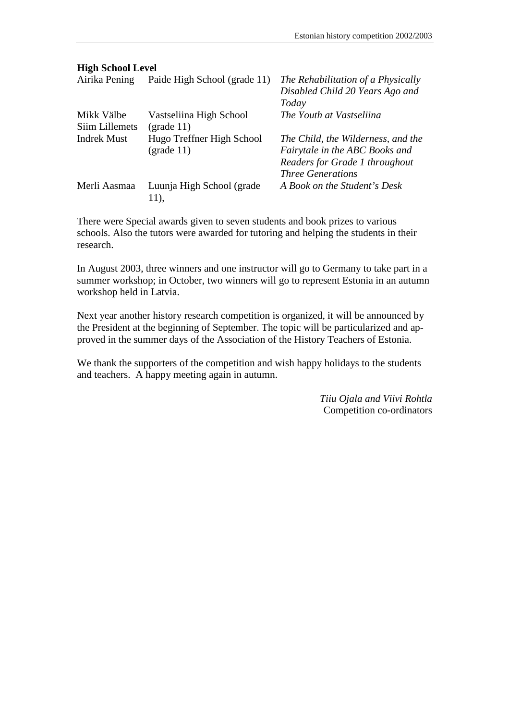# **High School Level**

| Airika Pening                | Paide High School (grade 11)              | The Rehabilitation of a Physically<br>Disabled Child 20 Years Ago and<br>Today                                                     |
|------------------------------|-------------------------------------------|------------------------------------------------------------------------------------------------------------------------------------|
| Mikk Välbe<br>Siim Lillemets | Vastseliina High School<br>$(grade 11)$   | The Youth at Vastseliina                                                                                                           |
| <b>Indrek Must</b>           | Hugo Treffner High School<br>$(grade 11)$ | The Child, the Wilderness, and the<br>Fairytale in the ABC Books and<br>Readers for Grade 1 throughout<br><b>Three Generations</b> |
| Merli Aasmaa                 | Luunja High School (grade<br>11),         | A Book on the Student's Desk                                                                                                       |

There were Special awards given to seven students and book prizes to various schools. Also the tutors were awarded for tutoring and helping the students in their research.

In August 2003, three winners and one instructor will go to Germany to take part in a summer workshop; in October, two winners will go to represent Estonia in an autumn workshop held in Latvia.

Next year another history research competition is organized, it will be announced by the President at the beginning of September. The topic will be particularized and approved in the summer days of the Association of the History Teachers of Estonia.

We thank the supporters of the competition and wish happy holidays to the students and teachers. A happy meeting again in autumn.

> *Tiiu Ojala and Viivi Rohtla* Competition co-ordinators